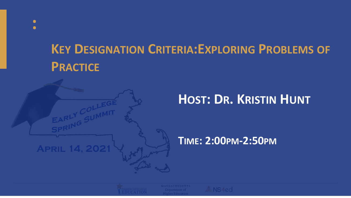#### **KEY DESIGNATION CRITERIA:EXPLORING PROBLEMS OF PRACTICE**



**:** 

#### **HOST: DR. KRISTIN HUNT**

#### **TIME: 2:00PM-2:50PM**



 $\lambda$  NS4ed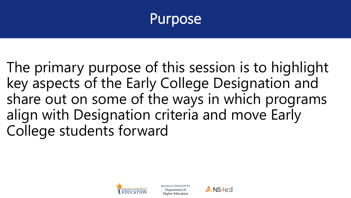

The primary purpose of this session is to highlight key aspects of the Early College Designation and share out on some of the ways in which programs align with Designation criteria and move Early College students forward



**MASSACHUSETTS** Department of **Higher Education** 

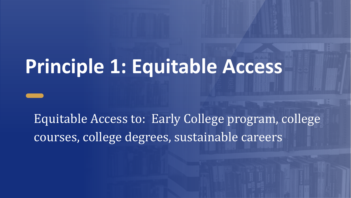# **Principle 1: Equitable Access**

Equitable Access to: Early College program, college courses, college degrees, sustainable careers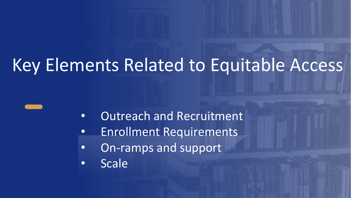# Key Elements Related to Equitable Access

- Outreach and Recruitment
- Enrollment Requirements
- On-ramps and support
- Scale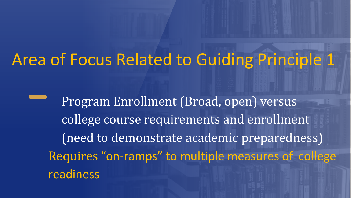### Area of Focus Related to Guiding Principle 1

Program Enrollment (Broad, open) versus college course requirements and enrollment (need to demonstrate academic preparedness) Requires "on-ramps" to multiple measures of college readiness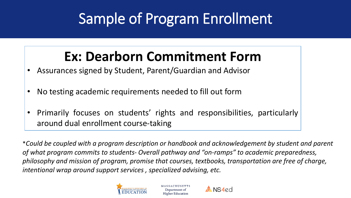### Sample of Program Enrollment

#### **Ex: Dearborn Commitment Form**

- Assurances signed by Student, Parent/Guardian and Advisor
- No testing academic requirements needed to fill out form
- Primarily focuses on students' rights and responsibilities, particularly around dual enrollment course-taking

\**Could be coupled with a program description or handbook and acknowledgement by student and parent of what program commits to students- Overall pathway and "on-ramps" to academic preparedness, philosophy and mission of program, promise that courses, textbooks, transportation are free of charge, intentional wrap around support services , specialized advising, etc.* 



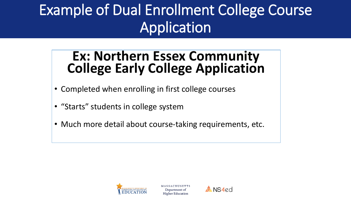## Example of Dual Enrollment College Course Application

#### **Ex: Northern Essex Community College Early College Application**

- Completed when enrolling in first college courses
- "Starts" students in college system
- Much more detail about course-taking requirements, etc.



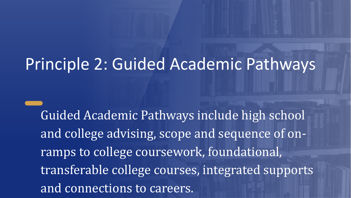### Principle 2: Guided Academic Pathways

Guided Academic Pathways include high school and college advising, scope and sequence of onramps to college coursework, foundational, transferable college courses, integrated supports and connections to careers.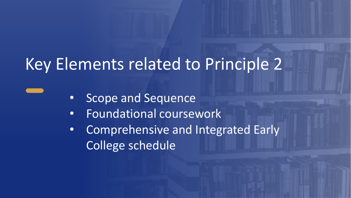## Key Elements related to Principle 2

- Scope and Sequence
- Foundational coursework
- Comprehensive and Integrated Early College schedule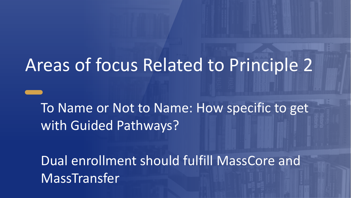## Areas of focus Related to Principle 2

To Name or Not to Name: How specific to get with Guided Pathways?

Dual enrollment should fulfill MassCore and MassTransfer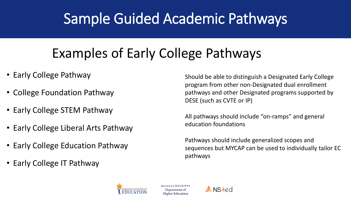### Sample Guided Academic Pathways

### Examples of Early College Pathways

- Early College Pathway
- College Foundation Pathway
- Early College STEM Pathway
- Early College Liberal Arts Pathway
- Early College Education Pathway
- Early College IT Pathway

Should be able to distinguish a Designated Early College program from other non-Designated dual enrollment pathways and other Designated programs supported by DESE (such as CVTE or IP)

All pathways should include "on-ramps" and general education foundations

Pathways should include generalized scopes and sequences but MYCAP can be used to individually tailor EC pathways



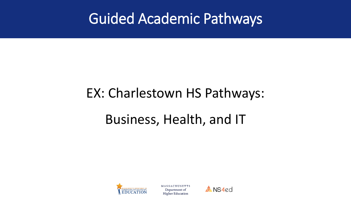### Guided Academic Pathways

# EX: Charlestown HS Pathways: Business, Health, and IT



**MASSACHUSETTS** Department of **Higher Education** 

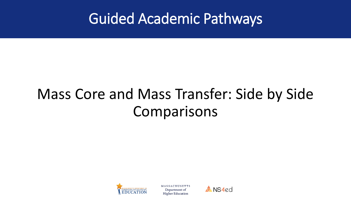### Guided Academic Pathways

### Mass Core and Mass Transfer: Side by Side Comparisons



MASSACHUSETTS Department of **Higher Education** 

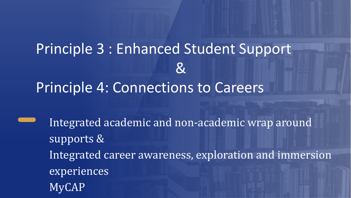## Principle 3 : Enhanced Student Support  $\mathbf{g}$ Principle 4: Connections to Careers

Integrated academic and non-academic wrap around supports & Integrated career awareness, exploration and immersion experiences MyCAP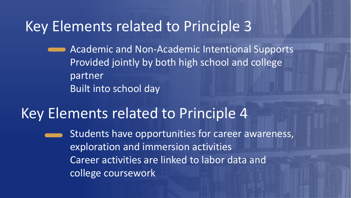#### Key Elements related to Principle 3

Academic and Non-Academic Intentional Supports Provided jointly by both high school and college partner Built into school day

#### Key Elements related to Principle 4

Students have opportunities for career awareness, exploration and immersion activities Career activities are linked to labor data and college coursework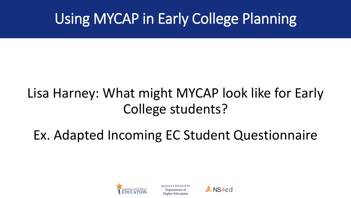### Using MYCAP in Early College Planning

### Lisa Harney: What might MYCAP look like for Early College students?

### Ex. Adapted Incoming EC Student Questionnaire



**Higher Education** 

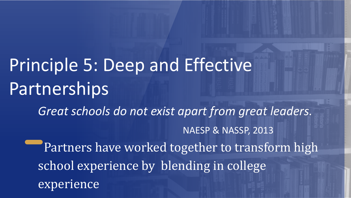# Principle 5: Deep and Effective Partnerships *Great schools do not exist apart from great leaders.*  NAESP & NASSP, 2013 Partners have worked together to transform high school experience by blending in college experience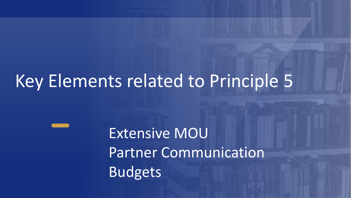## Key Elements related to Principle 5

Extensive MOU Partner Communication Budgets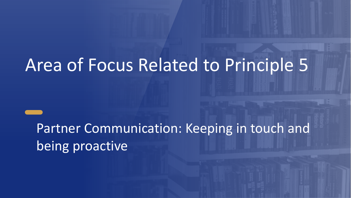## Area of Focus Related to Principle 5

Partner Communication: Keeping in touch and being proactive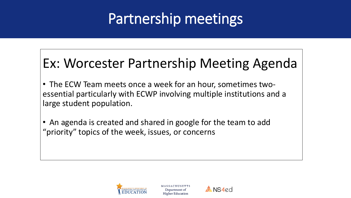### Partnership meetings

#### Ex: Worcester Partnership Meeting Agenda

- The ECW Team meets once a week for an hour, sometimes twoessential particularly with ECWP involving multiple institutions and a large student population.
- An agenda is created and shared in google for the team to add "priority" topics of the week, issues, or concerns